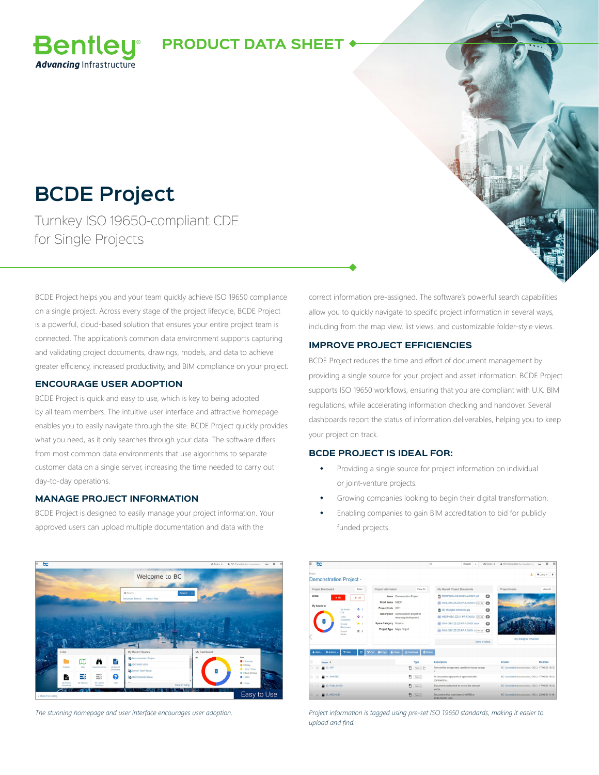### **PRODUCT DATA SHEET**

## **BCDE Project**

**Bentley Advancina** Infrastructure

Turnkey ISO 19650-compliant CDE for Single Projects

BCDE Project helps you and your team quickly achieve ISO 19650 compliance on a single project. Across every stage of the project lifecycle, BCDE Project is a powerful, cloud-based solution that ensures your entire project team is connected. The application's common data environment supports capturing and validating project documents, drawings, models, and data to achieve greater efficiency, increased productivity, and BIM compliance on your project.

#### **ENCOURAGE USER ADOPTION**

BCDE Project is quick and easy to use, which is key to being adopted by all team members. The intuitive user interface and attractive homepage enables you to easily navigate through the site. BCDE Project quickly provides what you need, as it only searches through your data. The software differs from most common data environments that use algorithms to separate customer data on a single server, increasing the time needed to carry out day-to-day operations.

#### **MANAGE PROJECT INFORMATION**

BCDE Project is designed to easily manage your project information. Your approved users can upload multiple documentation and data with the



correct information pre-assigned. The software's powerful search capabilities allow you to quickly navigate to specific project information in several ways, including from the map view, list views, and customizable folder-style views.

#### **IMPROVE PROJECT EFFICIENCIES**

BCDE Project reduces the time and effort of document management by providing a single source for your project and asset information. BCDE Project supports ISO 19650 workflows, ensuring that you are compliant with U.K. BIM regulations, while accelerating information checking and handover. Several dashboards report the status of information deliverables, helping you to keep your project on track.

#### **BCDE PROJECT IS IDEAL FOR:**

- Providing a single source for project information on individual or joint-venture projects.
- Growing companies looking to begin their digital transformation.
- Enabling companies to gain BIM accreditation to bid for publicly funded projects.

| bc                                                     |                      |                                                                |                               | $\circ$                                                                                                                                                                                    | <b>@ Tasks: 4</b><br>Search           |         | & BC Consultant (bcconsultant) =                 | $\overline{1}$<br>$\Omega$<br>$\Box$       |
|--------------------------------------------------------|----------------------|----------------------------------------------------------------|-------------------------------|--------------------------------------------------------------------------------------------------------------------------------------------------------------------------------------------|---------------------------------------|---------|--------------------------------------------------|--------------------------------------------|
| Project<br>Demonstration Project -                     |                      |                                                                |                               |                                                                                                                                                                                            |                                       |         |                                                  | $0$ listina $\sim$<br>$\ddot{\phantom{1}}$ |
| Project Dashboard                                      | More                 | Project Information                                            | View All                      | My Recent Project Documents                                                                                                                                                                |                                       |         | Project Media                                    | View All                                   |
| Grade<br><b>Wilde</b>                                  | V All                | Name Demonstration Project                                     |                               |                                                                                                                                                                                            | TO MBDP-GBC-XX-00-DR-A-00001.pdf      | $\circ$ |                                                  |                                            |
| My Issues In<br>My Issues<br>Out<br>To Be<br>Completed |                      | Short Name MBDP                                                |                               | 2001-GBC-ZZ-ZZ-RP-A-00008.d P01.02<br>$\circ$<br>city shanghai enhanced.jpg<br>$\circ$<br>20 MBDP-GBC-ZZ-01-PR-F-00002. [P01.04]<br>$\bullet$<br>2001-GBC-ZZ-ZZ-RP-A-00007.docx<br>$\circ$ |                                       |         |                                                  |                                            |
|                                                        | $\bullet$ $\bullet$  | Project Code 0001                                              |                               |                                                                                                                                                                                            |                                       |         |                                                  |                                            |
|                                                        | 0.2                  | Description Demonstration project for<br>elearning development |                               |                                                                                                                                                                                            |                                       |         |                                                  |                                            |
| Unmad<br>Responses                                     | $\blacksquare$       | <b>Space Category Projects</b>                                 |                               |                                                                                                                                                                                            |                                       |         |                                                  |                                            |
| Unsent<br><b>Issues</b>                                | 图 0                  | Project Type Major Project                                     |                               |                                                                                                                                                                                            | 19 0001-GBC-ZZ-ZZ-RP-A-00001.d P01.02 |         |                                                  |                                            |
|                                                        |                      |                                                                |                               | Show in listing                                                                                                                                                                            |                                       |         | city shanghai enhanced                           |                                            |
| <b>Q</b> Actions -<br>$+ Add -$                        | ø<br><b>T</b> Filter | <b>B.</b> Paste<br><b>B</b> Copy<br>∸∩∗                        | <b>B</b> Delete<br>& Download |                                                                                                                                                                                            |                                       |         |                                                  |                                            |
| Name +                                                 |                      |                                                                | Type                          | Description                                                                                                                                                                                |                                       |         | Creator                                          | Modified                                   |
| @ 00. WIP<br>ō<br>٠                                    |                      |                                                                | n<br>Search 2                 | Non-verified design data used by in-house design<br>$L_{-}$                                                                                                                                |                                       |         | BC Consultant (bcconsultant, GBC) 17/06/20 15:12 |                                            |
| <b>DE 01. SHARED</b><br>o<br>٠                         |                      |                                                                | ☎<br>Search                   | All documents approved or approved with<br>comments a                                                                                                                                      |                                       |         | BC Consultant (bcconsultant, GBC) 17/06/20 15:12 |                                            |
| 2 02. PUBLISHED<br>$\Box$<br>٠                         |                      |                                                                | m<br>Search                   | Documents authorised for use at the relevant<br>works                                                                                                                                      |                                       |         | BC Consultant (bcconsultant, GBC) 17/06/20 15:12 |                                            |
| <b>CO 03 ARCHIVE</b><br><sup>2</sup> [Search<br>٠      |                      |                                                                |                               | Documents that have been SHARED or<br>PUBLISHED, with.                                                                                                                                     |                                       |         | BC Consultant (boconsultant, GBC) 22/06/20 11:46 |                                            |

*The stunning homepage and user interface encourages user adoption. Project information is tagged using pre-set ISO 19650 standards, making it easier to upload and find.*